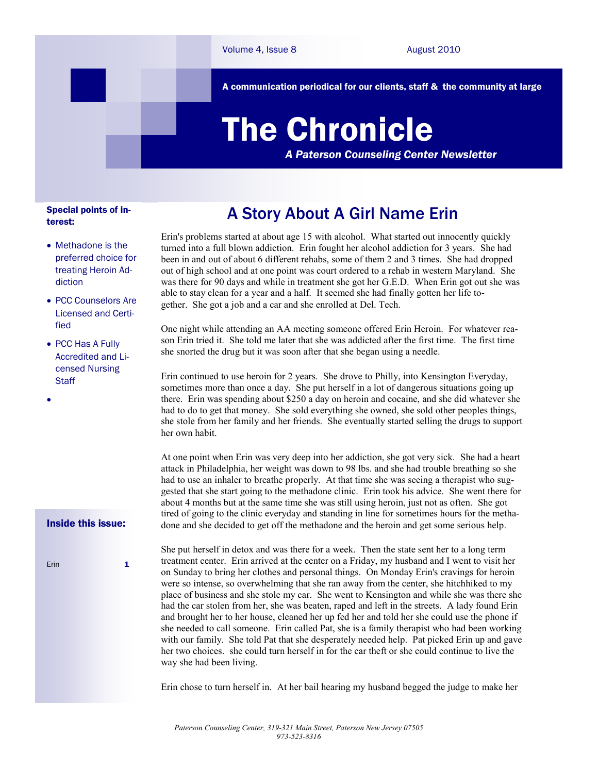A communication periodical for our clients, staff & the community at large

# The Chronicle

*A Paterson Counseling Center Newsletter*

#### Special points of interest:

- Methadone is the preferred choice for treating Heroin Addiction
- PCC Counselors Are Licensed and Certified
- PCC Has A Fully Accredited and Licensed Nursing **Staff**

#### Inside this issue:

Frin 1

 $\bullet$ 

## A Story About A Girl Name Erin

Erin's problems started at about age 15 with alcohol. What started out innocently quickly turned into a full blown addiction. Erin fought her alcohol addiction for 3 years. She had been in and out of about 6 different rehabs, some of them 2 and 3 times. She had dropped out of high school and at one point was court ordered to a rehab in western Maryland. She was there for 90 days and while in treatment she got her G.E.D. When Erin got out she was able to stay clean for a year and a half. It seemed she had finally gotten her life together. She got a job and a car and she enrolled at Del. Tech.

One night while attending an AA meeting someone offered Erin Heroin. For whatever reason Erin tried it. She told me later that she was addicted after the first time. The first time she snorted the drug but it was soon after that she began using a needle.

Erin continued to use heroin for 2 years. She drove to Philly, into Kensington Everyday, sometimes more than once a day. She put herself in a lot of dangerous situations going up there. Erin was spending about \$250 a day on heroin and cocaine, and she did whatever she had to do to get that money. She sold everything she owned, she sold other peoples things, she stole from her family and her friends. She eventually started selling the drugs to support her own habit.

At one point when Erin was very deep into her addiction, she got very sick. She had a heart attack in Philadelphia, her weight was down to 98 lbs. and she had trouble breathing so she had to use an inhaler to breathe properly. At that time she was seeing a therapist who suggested that she start going to the methadone clinic. Erin took his advice. She went there for about 4 months but at the same time she was still using heroin, just not as often. She got tired of going to the clinic everyday and standing in line for sometimes hours for the methadone and she decided to get off the methadone and the heroin and get some serious help.

She put herself in detox and was there for a week. Then the state sent her to a long term treatment center. Erin arrived at the center on a Friday, my husband and I went to visit her on Sunday to bring her clothes and personal things. On Monday Erin's cravings for heroin were so intense, so overwhelming that she ran away from the center, she hitchhiked to my place of business and she stole my car. She went to Kensington and while she was there she had the car stolen from her, she was beaten, raped and left in the streets. A lady found Erin and brought her to her house, cleaned her up fed her and told her she could use the phone if she needed to call someone. Erin called Pat, she is a family therapist who had been working with our family. She told Pat that she desperately needed help. Pat picked Erin up and gave her two choices. she could turn herself in for the car theft or she could continue to live the way she had been living.

Erin chose to turn herself in. At her bail hearing my husband begged the judge to make her